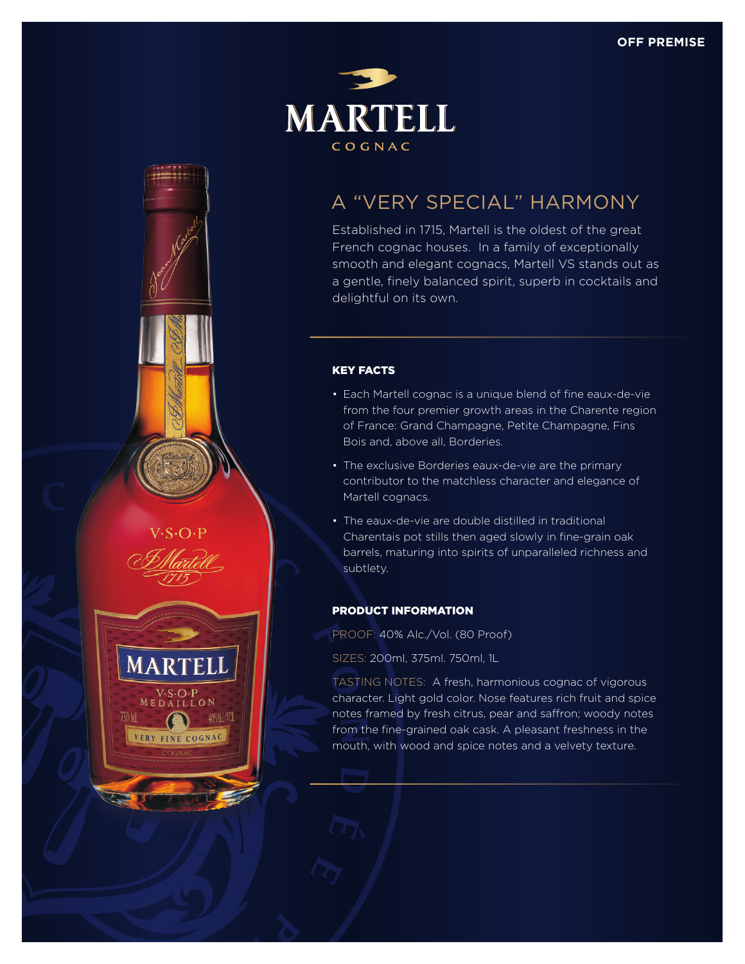

# A "VERY SPECIAL" HARMONY

Established in 1715, Martell is the oldest of the great French cognac houses. In a family of exceptionally smooth and elegant cognacs, Martell VS stands out as a gentle, finely balanced spirit, superb in cocktails and delightful on its own.

## KEY FACTS

 $3.0.1$ 

**MARTELL** 

 $\begin{array}{c} \text{V-S-O-P} \\ \text{M E DAILL ON} \end{array}$ 

VERY FINE COGNAC

750 MI

40%NLC/VOL

- Each Martell cognac is a unique blend of fine eaux-de-vie from the four premier growth areas in the Charente region of France: Grand Champagne, Petite Champagne, Fins Bois and, above all, Borderies.
- The exclusive Borderies eaux-de-vie are the primary contributor to the matchless character and elegance of Martell cognacs.
- The eaux-de-vie are double distilled in traditional Charentais pot stills then aged slowly in fine-grain oak barrels, maturing into spirits of unparalleled richness and subtlety.

### PRODUCT INFORMATION

- PROOF: 40% Alc./Vol. (80 Proof)
- SIZES: 200ml, 375ml. 750ml, 1L

TASTING NOTES: A fresh, harmonious cognac of vigorous character. Light gold color. Nose features rich fruit and spice notes framed by fresh citrus, pear and saffron; woody notes from the fine-grained oak cask. A pleasant freshness in the mouth, with wood and spice notes and a velvety texture.